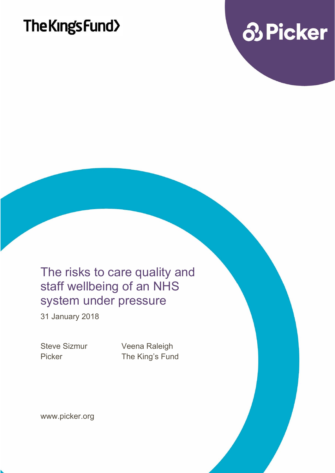

### The risks to care quality and staff wellbeing of an NHS system under pressure

31 January 2018

Steve Sizmur Veena Raleigh Picker The King's Fund

www.picker.org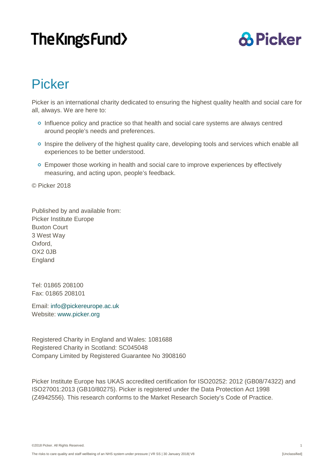### **& Picker**

### Picker

Picker is an international charity dedicated to ensuring the highest quality health and social care for all, always. We are here to:

- o Influence policy and practice so that health and social care systems are always centred around people's needs and preferences.
- <sup>o</sup> Inspire the delivery of the highest quality care, developing tools and services which enable all experiences to be better understood.
- **Empower those working in health and social care to improve experiences by effectively** measuring, and acting upon, people's feedback.

© Picker 2018

Published by and available from: Picker Institute Europe Buxton Court 3 West Way Oxford, OX2 0JB England

Tel: 01865 208100 Fax: 01865 208101

Email: [info@pickereurope.ac.uk](mailto:info@pickereurope.ac.uk) Website: [www.picker.org](http://www.picker.org/)

Registered Charity in England and Wales: 1081688 Registered Charity in Scotland: SC045048 Company Limited by Registered Guarantee No 3908160

Picker Institute Europe has UKAS accredited certification for ISO20252: 2012 (GB08/74322) and ISO27001:2013 (GB10/80275). Picker is registered under the Data Protection Act 1998 (Z4942556). This research conforms to the Market Research Society's Code of Practice.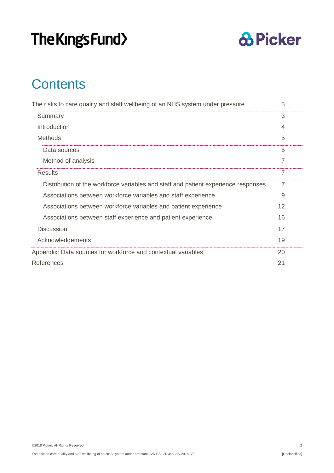

### **Contents**

| The risks to care quality and staff wellbeing of an NHS system under pressure      | 3  |
|------------------------------------------------------------------------------------|----|
| Summary                                                                            | 3  |
| Introduction                                                                       |    |
| <b>Methods</b>                                                                     | 5  |
| Data sources                                                                       | 5  |
| Method of analysis                                                                 |    |
| Results                                                                            |    |
| Distribution of the workforce variables and staff and patient experience responses |    |
| Associations between workforce variables and staff experience                      | 9  |
| Associations between workforce variables and patient experience                    | 12 |
| Associations between staff experience and patient experience                       | 16 |
| <b>Discussion</b>                                                                  | 17 |
| Acknowledgements                                                                   | 19 |
| Appendix: Data sources for workforce and contextual variables                      | 20 |
| References                                                                         | 21 |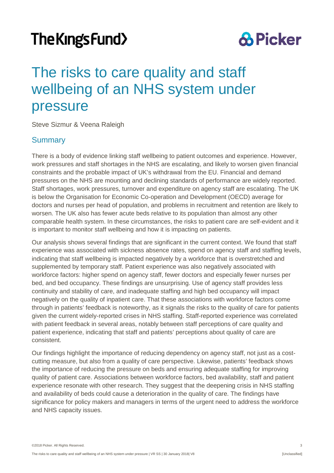### **& Picker**

### <span id="page-3-0"></span>The risks to care quality and staff wellbeing of an NHS system under pressure

Steve Sizmur & Veena Raleigh

#### <span id="page-3-1"></span>**Summary**

There is a body of evidence linking staff wellbeing to patient outcomes and experience. However, work pressures and staff shortages in the NHS are escalating, and likely to worsen given financial constraints and the probable impact of UK's withdrawal from the EU. Financial and demand pressures on the NHS are mounting and declining standards of performance are widely reported. Staff shortages, work pressures, turnover and expenditure on agency staff are escalating. The UK is below the Organisation for Economic Co-operation and Development (OECD) average for doctors and nurses per head of population, and problems in recruitment and retention are likely to worsen. The UK also has fewer acute beds relative to its population than almost any other comparable health system. In these circumstances, the risks to patient care are self-evident and it is important to monitor staff wellbeing and how it is impacting on patients.

Our analysis shows several findings that are significant in the current context. We found that staff experience was associated with sickness absence rates, spend on agency staff and staffing levels, indicating that staff wellbeing is impacted negatively by a workforce that is overstretched and supplemented by temporary staff. Patient experience was also negatively associated with workforce factors: higher spend on agency staff, fewer doctors and especially fewer nurses per bed, and bed occupancy. These findings are unsurprising. Use of agency staff provides less continuity and stability of care, and inadequate staffing and high bed occupancy will impact negatively on the quality of inpatient care. That these associations with workforce factors come through in patients' feedback is noteworthy, as it signals the risks to the quality of care for patients given the current widely-reported crises in NHS staffing. Staff-reported experience was correlated with patient feedback in several areas, notably between staff perceptions of care quality and patient experience, indicating that staff and patients' perceptions about quality of care are consistent.

Our findings highlight the importance of reducing dependency on agency staff, not just as a costcutting measure, but also from a quality of care perspective. Likewise, patients' feedback shows the importance of reducing the pressure on beds and ensuring adequate staffing for improving quality of patient care. Associations between workforce factors, bed availability, staff and patient experience resonate with other research. They suggest that the deepening crisis in NHS staffing and availability of beds could cause a deterioration in the quality of care. The findings have significance for policy makers and managers in terms of the urgent need to address the workforce and NHS capacity issues.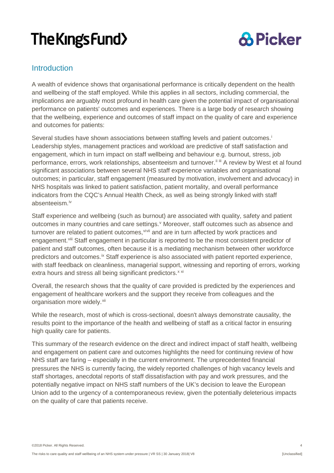

#### <span id="page-4-0"></span>**Introduction**

A wealth of evidence shows that organisational performance is critically dependent on the health and wellbeing of the staff employed. While this applies in all sectors, including commercial, the implications are arguably most profound in health care given the potential impact of organisational performance on patients' outcomes and experiences. There is a large body of research showing that the wellbeing, experience and outcomes of staff impact on the quality of care and experience and outcomes for patients:

Several studies have shown associations between staffing levels and patient outcomes. [i](#page-21-1) Leadership styles, management practices and workload are predictive of staff satisfaction and engagement, which in turn impact on staff wellbeing and behaviour e.g. burnout, stress, job performance, errors, work relationships, absenteeism and turnover.<sup>[ii](#page-21-2) [iii](#page-21-3)</sup> A review by West et al found significant associations between several NHS staff experience variables and organisational outcomes; in particular, staff engagement (measured by motivation, involvement and advocacy) in NHS hospitals was linked to patient satisfaction, patient mortality, and overall performance indicators from the CQC's Annual Health Check, as well as being strongly linked with staff absenteeism.<sup>[iv](#page-21-4)</sup>

Staff experience and wellbeing (such as burnout) are associated with quality, safety and patient outcomes in many countries and care settings.<sup>[v](#page-21-5)</sup> Moreover, staff outcomes such as absence and turnover are related to patient outcomes,<sup>[vi](#page-21-6)[vii](#page-21-7)</sup> and are in turn affected by work practices and engagement. Vili Staff engagement in particular is reported to be the most consistent predictor of patient and staff outcomes, often because it is a mediating mechanism between other workforce predictors and outcomes.<sup>[ix](#page-21-9)</sup> Staff experience is also associated with patient reported experience, with staff feedback on cleanliness, managerial support, witnessing and reporting of errors, working e[x](#page-21-10)tra hours and stress all being significant predictors.<sup>x [xi](#page-21-11)</sup>

Overall, the research shows that the quality of care provided is predicted by the experiences and engagement of healthcare workers and the support they receive from colleagues and the organisation more widely.<sup>[xii](#page-21-12)</sup>

While the research, most of which is cross-sectional, doesn't always demonstrate causality, the results point to the importance of the health and wellbeing of staff as a critical factor in ensuring high quality care for patients.

This summary of the research evidence on the direct and indirect impact of staff health, wellbeing and engagement on patient care and outcomes highlights the need for continuing review of how NHS staff are faring – especially in the current environment. The unprecedented financial pressures the NHS is currently facing, the widely reported challenges of high vacancy levels and staff shortages, anecdotal reports of staff dissatisfaction with pay and work pressures, and the potentially negative impact on NHS staff numbers of the UK's decision to leave the European Union add to the urgency of a contemporaneous review, given the potentially deleterious impacts on the quality of care that patients receive.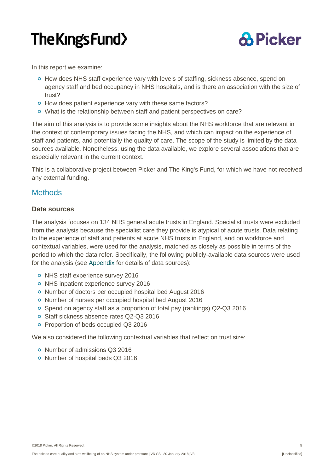

In this report we examine:

- <sup>o</sup> How does NHS staff experience vary with levels of staffing, sickness absence, spend on agency staff and bed occupancy in NHS hospitals, and is there an association with the size of trust?
- o How does patient experience vary with these same factors?
- What is the relationship between staff and patient perspectives on care?

The aim of this analysis is to provide some insights about the NHS workforce that are relevant in the context of contemporary issues facing the NHS, and which can impact on the experience of staff and patients, and potentially the quality of care. The scope of the study is limited by the data sources available. Nonetheless, using the data available, we explore several associations that are especially relevant in the current context.

This is a collaborative project between Picker and The King's Fund, for which we have not received any external funding.

#### <span id="page-5-0"></span>**Methods**

#### <span id="page-5-1"></span>**Data sources**

The analysis focuses on 134 NHS general acute trusts in England. Specialist trusts were excluded from the analysis because the specialist care they provide is atypical of acute trusts. Data relating to the experience of staff and patients at acute NHS trusts in England, and on workforce and contextual variables, were used for the analysis, matched as closely as possible in terms of the period to which the data refer. Specifically, the following publicly-available data sources were used for the analysis (see [Appendix](#page-20-0) for details of data sources):

- o NHS staff experience survey 2016
- o NHS inpatient experience survey 2016
- o Number of doctors per occupied hospital bed August 2016
- o Number of nurses per occupied hospital bed August 2016
- Spend on agency staff as a proportion of total pay (rankings) Q2-Q3 2016
- o Staff sickness absence rates Q2-Q3 2016
- o Proportion of beds occupied Q3 2016

We also considered the following contextual variables that reflect on trust size:

- o Number of admissions Q3 2016
- **O** Number of hospital beds Q3 2016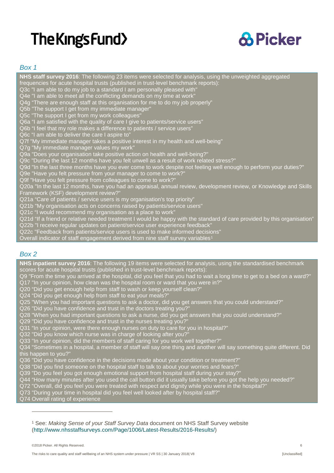

#### *Box 1*

**NHS staff survey 2016**: The following 23 items were selected for analysis, using the unweighted aggregated frequencies for acute hospital trusts (published in trust-level benchmark reports): Q3c "I am able to do my job to a standard I am personally pleased with" Q4e "I am able to meet all the conflicting demands on my time at work" Q4g "There are enough staff at this organisation for me to do my job properly" Q5b "The support I get from my immediate manager" Q5c "The support I get from my work colleagues" Q6a "I am satisfied with the quality of care I give to patients/service users" Q6b "I feel that my role makes a difference to patients / service users" Q6c "I am able to deliver the care I aspire to" Q7f "My immediate manager takes a positive interest in my health and well-being" Q7g "My immediate manager values my work" Q9a "Does your organisation take positive action on health and well-being?" Q9c "During the last 12 months have you felt unwell as a result of work related stress?" Q9d "In the last three months have you ever come to work despite not feeling well enough to perform your duties?" Q9e "Have you felt pressure from your manager to come to work?" Q9f "Have you felt pressure from colleagues to come to work? Q20a "In the last 12 months, have you had an appraisal, annual review, development review, or Knowledge and Skills Framework (KSF) development review? Q21a "Care of patients / service users is my organisation's top priority" Q21b "My organisation acts on concerns raised by patients/service users" Q21c "I would recommend my organisation as a place to work" Q21d "If a friend or relative needed treatment I would be happy with the standard of care provided by this organisation" Q22b "I receive regular updates on patient/service user experience feedback" Q22c "Feedback from patients/service users is used to make informed decisions"

Overall indicator of staff engagement derived from nine staff survey variables<sup>[1](#page-6-0)</sup>

#### *Box 2*

**NHS inpatient survey 2016**: The following 19 items were selected for analysis, using the standardised benchmark scores for acute hospital trusts (published in trust-level benchmark reports):

Q9 "From the time you arrived at the hospital, did you feel that you had to wait a long time to get to a bed on a ward?" Q17 "In your opinion, how clean was the hospital room or ward that you were in?"

Q20 "Did you get enough help from staff to wash or keep yourself clean?"

Q24 "Did you get enough help from staff to eat your meals?"

Q25 "When you had important questions to ask a doctor, did you get answers that you could understand?"

Q26 "Did you have confidence and trust in the doctors treating you?"

Q28 "When you had important questions to ask a nurse, did you get answers that you could understand?"

Q29 "Did you have confidence and trust in the nurses treating you?

Q31 "In your opinion, were there enough nurses on duty to care for you in hospital?"

Q32 "Did you know which nurse was in charge of looking after you?

Q33 "In your opinion, did the members of staff caring for you work well together?"

Q34 "Sometimes in a hospital, a member of staff will say one thing and another will say something quite different. Did this happen to you?

Q36 "Did you have confidence in the decisions made about your condition or treatment?"

- Q38 "Did you find someone on the hospital staff to talk to about your worries and fears?"
- Q39 "Do you feel you got enough emotional support from hospital staff during your stay?"
- Q44 "How many minutes after you used the call button did it usually take before you got the help you needed?"

Q72 "Overall, did you feel you were treated with respect and dignity while you were in the hospital?"

Q73 "During your time in hospital did you feel well looked after by hospital staff?"

Q74 Overall rating of experience

 $\overline{a}$ 

<span id="page-6-0"></span><sup>1</sup> See: *Making Sense of your Staff Survey Data* document on NHS Staff Survey website [\(http://www.nhsstaffsurveys.com/Page/1006/Latest-Results/2016-Results/\)](http://www.nhsstaffsurveys.com/Page/1006/Latest-Results/2016-Results/)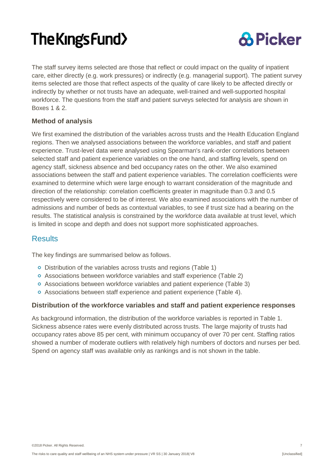

The staff survey items selected are those that reflect or could impact on the quality of inpatient care, either directly (e.g. work pressures) or indirectly (e.g. managerial support). The patient survey items selected are those that reflect aspects of the quality of care likely to be affected directly or indirectly by whether or not trusts have an adequate, well-trained and well-supported hospital workforce. The questions from the staff and patient surveys selected for analysis are shown in Boxes 1 & 2.

#### <span id="page-7-0"></span>**Method of analysis**

We first examined the distribution of the variables across trusts and the Health Education England regions. Then we analysed associations between the workforce variables, and staff and patient experience. Trust-level data were analysed using Spearman's rank-order correlations between selected staff and patient experience variables on the one hand, and staffing levels, spend on agency staff, sickness absence and bed occupancy rates on the other. We also examined associations between the staff and patient experience variables. The correlation coefficients were examined to determine which were large enough to warrant consideration of the magnitude and direction of the relationship: correlation coefficients greater in magnitude than 0.3 and 0.5 respectively were considered to be of interest. We also examined associations with the number of admissions and number of beds as contextual variables, to see if trust size had a bearing on the results. The statistical analysis is constrained by the workforce data available at trust level, which is limited in scope and depth and does not support more sophisticated approaches.

#### <span id="page-7-1"></span>**Results**

The key findings are summarised below as follows.

- Distribution of the variables across trusts and regions (Table 1)
- Associations between workforce variables and staff experience (Table 2)
- Associations between workforce variables and patient experience (Table 3)
- Associations between staff experience and patient experience (Table 4).

#### <span id="page-7-2"></span>**Distribution of the workforce variables and staff and patient experience responses**

As background information, the distribution of the workforce variables is reported in Table 1. Sickness absence rates were evenly distributed across trusts. The large majority of trusts had occupancy rates above 85 per cent, with minimum occupancy of over 70 per cent. Staffing ratios showed a number of moderate outliers with relatively high numbers of doctors and nurses per bed. Spend on agency staff was available only as rankings and is not shown in the table.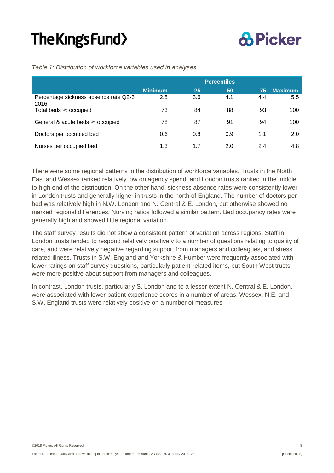### **& Picker**

|                                               | <b>Percentiles</b> |     |     |     |                |  |  |  |  |  |
|-----------------------------------------------|--------------------|-----|-----|-----|----------------|--|--|--|--|--|
|                                               | <b>Minimum</b>     | 25  | 50  | 75  | <b>Maximum</b> |  |  |  |  |  |
| Percentage sickness absence rate Q2-3<br>2016 | 2.5                | 3.6 | 4.1 | 4.4 | 5.5            |  |  |  |  |  |
| Total beds % occupied                         | 73                 | 84  | 88  | 93  | 100            |  |  |  |  |  |
| General & acute beds % occupied               | 78                 | 87  | 91  | 94  | 100            |  |  |  |  |  |
| Doctors per occupied bed                      | 0.6                | 0.8 | 0.9 | 1.1 | 2.0            |  |  |  |  |  |
| Nurses per occupied bed                       | 1.3                | 1.7 | 2.0 | 2.4 | 4.8            |  |  |  |  |  |

*Table 1: Distribution of workforce variables used in analyses*

There were some regional patterns in the distribution of workforce variables. Trusts in the North East and Wessex ranked relatively low on agency spend, and London trusts ranked in the middle to high end of the distribution. On the other hand, sickness absence rates were consistently lower in London trusts and generally higher in trusts in the north of England. The number of doctors per bed was relatively high in N.W. London and N. Central & E. London, but otherwise showed no marked regional differences. Nursing ratios followed a similar pattern. Bed occupancy rates were generally high and showed little regional variation.

The staff survey results did not show a consistent pattern of variation across regions. Staff in London trusts tended to respond relatively positively to a number of questions relating to quality of care, and were relatively negative regarding support from managers and colleagues, and stress related illness. Trusts in S.W. England and Yorkshire & Humber were frequently associated with lower ratings on staff survey questions, particularly patient-related items, but South West trusts were more positive about support from managers and colleagues.

In contrast, London trusts, particularly S. London and to a lesser extent N. Central & E. London, were associated with lower patient experience scores in a number of areas. Wessex, N.E. and S.W. England trusts were relatively positive on a number of measures.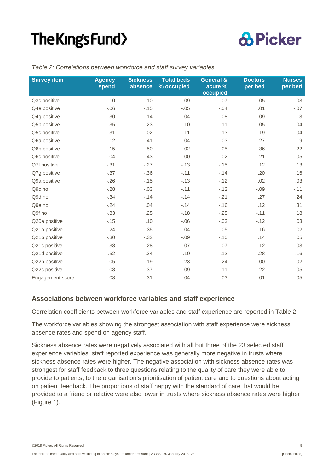

| <b>Survey item</b> | <b>Agency</b><br>spend | <b>Sickness</b><br>absence | <b>Total beds</b><br>% occupied | <b>General &amp;</b><br>acute %<br>occupied | <b>Doctors</b><br>per bed | <b>Nurses</b><br>per bed |
|--------------------|------------------------|----------------------------|---------------------------------|---------------------------------------------|---------------------------|--------------------------|
| Q3c positive       | $-.10$                 | $-.10$                     | $-.09$                          | $-.07$                                      | $-.05$                    | $-.03$                   |
| Q4e positive       | $-.06$                 | $-0.15$                    | $-.05$                          | $-.04$                                      | .01                       | $-.07$                   |
| Q4g positive       | $-.30$                 | $-14$                      | $-.04$                          | $-.08$                                      | .09                       | .13                      |
| Q5b positive       | $-.35$                 | $-23$                      | $-.10$                          | $-.11$                                      | .05                       | .04                      |
| Q5c positive       | $-.31$                 | $-.02$                     | $-.11$                          | $-0.13$                                     | $-.19$                    | $-.04$                   |
| Q6a positive       | $-.12$                 | $-.41$                     | $-.04$                          | $-.03$                                      | .27                       | .19                      |
| Q6b positive       | $-0.15$                | $-.50$                     | .02                             | .05                                         | .36                       | .22                      |
| Q6c positive       | $-.04$                 | $-.43$                     | .00                             | .02                                         | .21                       | .05                      |
| Q7f positive       | $-.31$                 | $-.27$                     | $-.13$                          | $-.15$                                      | .12                       | .13                      |
| Q7g positive       | $-.37$                 | $-.36$                     | $-.11$                          | $-.14$                                      | .20                       | .16                      |
| Q9a positive       | $-.26$                 | $-.15$                     | $-.13$                          | $-.12$                                      | .02                       | .03                      |
| Q9c no             | $-.28$                 | $-.03$                     | $-.11$                          | $-.12$                                      | $-.09$                    | $-.11$                   |
| Q9d no             | $-.34$                 | $-14$                      | $-.14$                          | $-.21$                                      | .27                       | .24                      |
| Q9e no             | $-24$                  | .04                        | $-14$                           | $-.16$                                      | .12                       | .31                      |
| Q9f no             | $-.33$                 | .25                        | $-.18$                          | $-.25$                                      | $-.11$                    | .18                      |
| Q20a positive      | $-0.15$                | .10                        | $-.06$                          | $-.03$                                      | $-.12$                    | .03                      |
| Q21a positive      | $-24$                  | $-.35$                     | $-.04$                          | $-.05$                                      | .16                       | .02                      |
| Q21b positive      | $-.30$                 | $-.32$                     | $-.09$                          | $-.10$                                      | .14                       | .05                      |
| Q21c positive      | $-.38$                 | $-28$                      | $-.07$                          | $-.07$                                      | .12                       | .03                      |
| Q21d positive      | $-.52$                 | $-.34$                     | $-.10$                          | $-.12$                                      | .28                       | .16                      |
| Q22b positive      | $-.05$                 | $-.19$                     | $-.23$                          | $-.24$                                      | .00                       | $-.02$                   |
| Q22c positive      | $-.08$                 | $-.37$                     | $-.09$                          | $-.11$                                      | .22                       | .05                      |
| Engagement score   | .08                    | $-.31$                     | $-.04$                          | $-.03$                                      | .01                       | $-.05$                   |

#### *Table 2: Correlations between workforce and staff survey variables*

#### <span id="page-9-0"></span>**Associations between workforce variables and staff experience**

Correlation coefficients between workforce variables and staff experience are reported in Table 2.

The workforce variables showing the strongest association with staff experience were sickness absence rates and spend on agency staff.

Sickness absence rates were negatively associated with all but three of the 23 selected staff experience variables: staff reported experience was generally more negative in trusts where sickness absence rates were higher. The negative association with sickness absence rates was strongest for staff feedback to three questions relating to the quality of care they were able to provide to patients, to the organisation's prioritisation of patient care and to questions about acting on patient feedback. The proportions of staff happy with the standard of care that would be provided to a friend or relative were also lower in trusts where sickness absence rates were higher (Figure 1).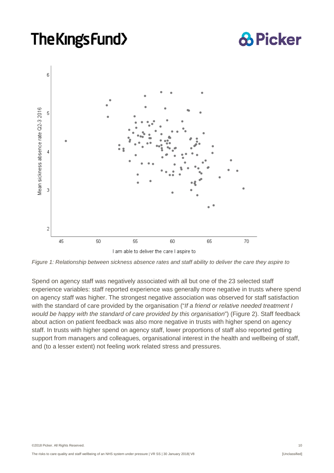### **& Picker**



*Figure 1: Relationship between sickness absence rates and staff ability to deliver the care they aspire to*

Spend on agency staff was negatively associated with all but one of the 23 selected staff experience variables: staff reported experience was generally more negative in trusts where spend on agency staff was higher. The strongest negative association was observed for staff satisfaction with the standard of care provided by the organisation ("*If a friend or relative needed treatment I would be happy with the standard of care provided by this organisation*") (Figure 2). Staff feedback about action on patient feedback was also more negative in trusts with higher spend on agency staff. In trusts with higher spend on agency staff, lower proportions of staff also reported getting support from managers and colleagues, organisational interest in the health and wellbeing of staff, and (to a lesser extent) not feeling work related stress and pressures.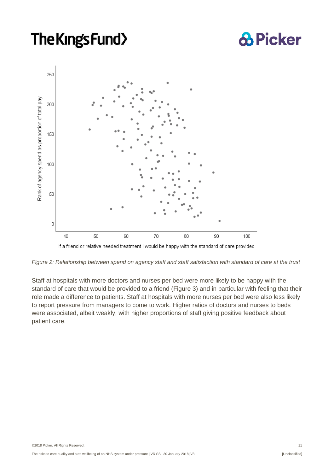## **& Picker**



If a friend or relative needed treatment I would be happy with the standard of care provided

*Figure 2: Relationship between spend on agency staff and staff satisfaction with standard of care at the trust*

Staff at hospitals with more doctors and nurses per bed were more likely to be happy with the standard of care that would be provided to a friend (Figure 3) and in particular with feeling that their role made a difference to patients. Staff at hospitals with more nurses per bed were also less likely to report pressure from managers to come to work. Higher ratios of doctors and nurses to beds were associated, albeit weakly, with higher proportions of staff giving positive feedback about patient care.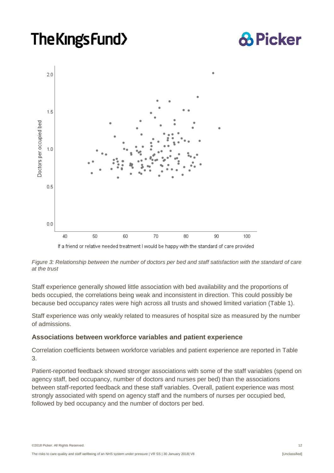## **& Picker**



If a friend or relative needed treatment I would be happy with the standard of care provided

#### *Figure 3: Relationship between the number of doctors per bed and staff satisfaction with the standard of care at the trust*

Staff experience generally showed little association with bed availability and the proportions of beds occupied, the correlations being weak and inconsistent in direction. This could possibly be because bed occupancy rates were high across all trusts and showed limited variation (Table 1).

Staff experience was only weakly related to measures of hospital size as measured by the number of admissions.

#### <span id="page-12-0"></span>**Associations between workforce variables and patient experience**

Correlation coefficients between workforce variables and patient experience are reported in Table 3.

Patient-reported feedback showed stronger associations with some of the staff variables (spend on agency staff, bed occupancy, number of doctors and nurses per bed) than the associations between staff-reported feedback and these staff variables. Overall, patient experience was most strongly associated with spend on agency staff and the numbers of nurses per occupied bed, followed by bed occupancy and the number of doctors per bed.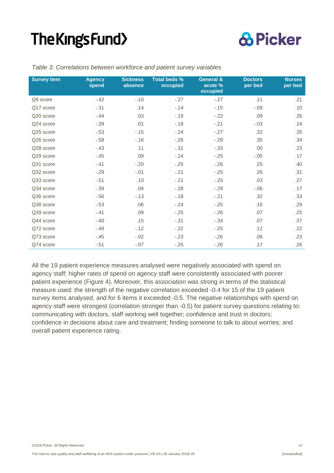

| <b>Survey item</b> | <b>Sickness</b><br><b>Agency</b><br>absence<br>spend |        | <b>Total beds %</b><br>occupied | <b>General &amp;</b><br>acute %<br>occupied | <b>Doctors</b><br>per bed | <b>Nurses</b><br>per bed |
|--------------------|------------------------------------------------------|--------|---------------------------------|---------------------------------------------|---------------------------|--------------------------|
| Q9 score           | $-.42$                                               | $-.10$ | $-.27$                          | $-.27$                                      | .11                       | .21                      |
| Q17 score          | $-.31$                                               | .14    | $-14$                           | $-.15$                                      | $-.09$                    | .10                      |
| Q20 score          | $-.44$                                               | .03    | $-.19$                          | $-.22$                                      | .09                       | .26                      |
| Q24 score          | $-.39$                                               | .01    | $-.18$                          | $-.21$                                      | $-.03$                    | .14                      |
| Q25 score          | $-.53$                                               | $-.15$ | $-.24$                          | $-27$                                       | .32                       | .35                      |
| Q26 score          | $-58$                                                | $-.16$ | $-.26$                          | $-29$                                       | .35                       | .34                      |
| Q28 score          | $-.43$                                               | .11    | $-.31$                          | $-.33$                                      | .00                       | .23                      |
| Q29 score          | $-.45$                                               | .09    | $-.24$                          | $-0.25$                                     | $-.05$                    | .17                      |
| Q31 score          | $-.41$                                               | $-.20$ | $-.25$                          | $-26$                                       | .25                       | .40                      |
| Q32 score          | $-.29$                                               | $-.01$ | $-.21$                          | $-0.25$                                     | .26                       | .31                      |
| Q33 score          | $-.51$                                               | .10    | $-.21$                          | $-25$                                       | .03                       | .27                      |
| Q34 score          | $-.39$                                               | .04    | $-.28$                          | $-29$                                       | $-0.06$                   | .17                      |
| Q36 score          | $-.56$                                               | $-.13$ | $-.18$                          | $-.21$                                      | .32                       | .33                      |
| Q38 score          | $-.53$                                               | .06    | $-.24$                          | $-.25$                                      | .16                       | .29                      |
| Q39 score          | $-.41$                                               | .09    | $-.25$                          | $-26$                                       | .07                       | .25                      |
| Q44 score          | $-.40$                                               | .15    | $-.31$                          | $-.34$                                      | .07                       | .37                      |
| Q72 score          | $-.49$                                               | $-.12$ | $-.22$                          | $-.25$                                      | .12                       | .22                      |
| Q73 score          | $-.45$                                               | $-.02$ | $-.23$                          | $-26$                                       | .08                       | .23                      |
| Q74 score          | $-.51$                                               | $-.07$ | $-.25$                          | $-26$                                       | .17                       | .26                      |

*Table 3: Correlations between workforce and patient survey variables*

All the 19 patient experience measures analysed were negatively associated with spend on agency staff: higher rates of spend on agency staff were consistently associated with poorer patient experience (Figure 4). Moreover, this association was strong in terms of the statistical measure used: the strength of the negative correlation exceeded -0.4 for 15 of the 19 patient survey items analysed, and for 6 items it exceeded -0.5. The negative relationships with spend on agency staff were strongest (correlation stronger than -0.5) for patient survey questions relating to: communicating with doctors, staff working well together; confidence and trust in doctors; confidence in decisions about care and treatment; finding someone to talk to about worries; and overall patient experience rating.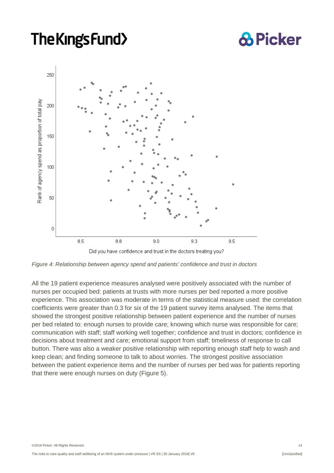## **& Picker**



*Figure 4: Relationship between agency spend and patients' confidence and trust in doctors*

All the 19 patient experience measures analysed were positively associated with the number of nurses per occupied bed: patients at trusts with more nurses per bed reported a more positive experience. This association was moderate in terms of the statistical measure used: the correlation coefficients were greater than 0.3 for six of the 19 patient survey items analysed. The items that showed the strongest positive relationship between patient experience and the number of nurses per bed related to: enough nurses to provide care; knowing which nurse was responsible for care; communication with staff; staff working well together; confidence and trust in doctors; confidence in decisions about treatment and care; emotional support from staff; timeliness of response to call button. There was also a weaker positive relationship with reporting enough staff help to wash and keep clean; and finding someone to talk to about worries. The strongest positive association between the patient experience items and the number of nurses per bed was for patients reporting that there were enough nurses on duty (Figure 5).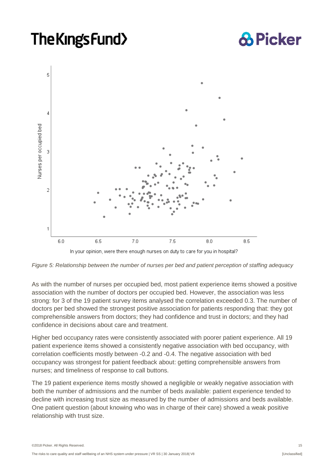## **& Picker**



*Figure 5: Relationship between the number of nurses per bed and patient perception of staffing adequacy*

As with the number of nurses per occupied bed, most patient experience items showed a positive association with the number of doctors per occupied bed. However, the association was less strong: for 3 of the 19 patient survey items analysed the correlation exceeded 0.3. The number of doctors per bed showed the strongest positive association for patients responding that: they got comprehensible answers from doctors; they had confidence and trust in doctors; and they had confidence in decisions about care and treatment.

Higher bed occupancy rates were consistently associated with poorer patient experience. All 19 patient experience items showed a consistently negative association with bed occupancy, with correlation coefficients mostly between -0.2 and -0.4. The negative association with bed occupancy was strongest for patient feedback about: getting comprehensible answers from nurses; and timeliness of response to call buttons.

The 19 patient experience items mostly showed a negligible or weakly negative association with both the number of admissions and the number of beds available: patient experience tended to decline with increasing trust size as measured by the number of admissions and beds available. One patient question (about knowing who was in charge of their care) showed a weak positive relationship with trust size.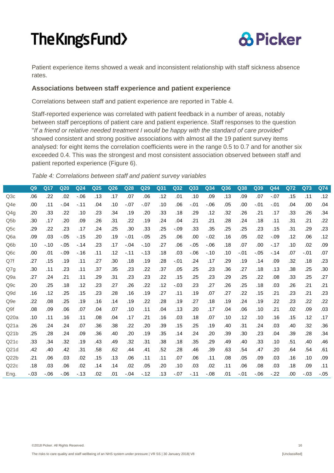

Patient experience items showed a weak and inconsistent relationship with staff sickness absence rates.

#### <span id="page-16-0"></span>**Associations between staff experience and patient experience**

Correlations between staff and patient experience are reported in Table 4.

Staff-reported experience was correlated with patient feedback in a number of areas, notably between staff perceptions of patient care and patient experience. Staff responses to the question "*If a friend or relative needed treatment I would be happy with the standard of care provided*" showed consistent and strong positive associations with almost all the 19 patient survey items analysed: for eight items the correlation coefficients were in the range 0.5 to 0.7 and for another six exceeded 0.4. This was the strongest and most consistent association observed between staff and patient reported experience (Figure 6).

*Table 4: Correlations between staff and patient survey variables*

|                  | Q <sub>9</sub> | Q17    | Q <sub>20</sub> | Q <sub>24</sub> | Q25 | Q26 | Q28    | Q29    | Q31 | Q32    | Q33     | Q34     | Q36 | Q38    | Q39     | Q44    | <b>Q72</b> | Q73    | Q74    |
|------------------|----------------|--------|-----------------|-----------------|-----|-----|--------|--------|-----|--------|---------|---------|-----|--------|---------|--------|------------|--------|--------|
| Q3c              | .06            | .22    | .02             | $-06$           | .13 | .17 | .07    | .06    | .12 | .01    | .10     | .09     | .13 | .09    | .07     | $-.07$ | .15        | .11    | .12    |
| Q4e              | .00            | .11    | $-.04$          | $-.11$          | .04 | .10 | $-.07$ | $-.07$ | .10 | .06    | $-.01$  | $-0.06$ | .05 | .00    | $-.01$  | $-.01$ | .04        | .00    | .04    |
| Q4g              | .20            | .33    | .22             | .10             | .23 | .34 | .19    | .20    | .33 | .18    | .29     | .12     | .32 | .26    | .21     | .17    | .33        | .26    | .34    |
| Q <sub>5</sub> b | .30            | .17    | .20             | .09             | .26 | .31 | .22    | .19    | .24 | .04    | .21     | .21     | .28 | .24    | .18     | .11    | .31        | .21    | .22    |
| Q <sub>5</sub> c | .29            | .22    | .23             | .17             | .24 | .25 | .30    | .33    | .25 | $-.09$ | .33     | .35     | .25 | .25    | .23     | .15    | .31        | .29    | .23    |
| Q <sub>6</sub> a | .09            | .03    | $-.05$          | $-15$           | .20 | .19 | $-.01$ | $-.05$ | .25 | .06    | .00     | $-.02$  | .16 | .05    | .02     | $-.09$ | .12        | .06    | .12    |
| Q <sub>6</sub> b | .10            | $-.10$ | $-.05$          | $-.14$          | .23 | .17 | $-.04$ | $-.10$ | .27 | .06    | $-.05$  | $-0.06$ | .18 | .07    | .00     | $-.17$ | .10        | .02    | .09    |
| Q <sub>6</sub> c | .00            | .01    | $-.09$          | $-16$           | .11 | .12 | $-.11$ | $-13$  | .18 | .03    | $-0.06$ | $-.10$  | .10 | $-.01$ | $-.05$  | $-14$  | .07        | $-.01$ | .07    |
| Q7f              | .27            | .15    | .19             | .11             | .27 | .30 | .18    | .19    | .28 | $-.01$ | .24     | .17     | .29 | .19    | .14     | .09    | .32        | .18    | .23    |
| Q7g              | .30            | .11    | .23             | .11             | .37 | .35 | .23    | .22    | .37 | .05    | .25     | .23     | .36 | .27    | .18     | .13    | .38        | .25    | .30    |
| Q <sub>9</sub> a | .27            | .24    | .21             | .11             | .29 | .31 | .23    | .23    | .22 | .15    | .25     | .23     | .29 | .25    | .22     | .08    | .33        | .25    | .27    |
| Q9c              | .20            | .25    | .18             | .12             | .23 | .27 | .26    | .22    | .12 | $-.03$ | .23     | .27     | .26 | .25    | .18     | .03    | .26        | .21    | .21    |
| Q <sub>9</sub> d | .16            | .12    | .25             | .15             | .23 | .28 | .16    | .19    | .27 | .11    | .19     | .07     | .27 | .22    | .15     | .21    | .23        | .21    | .23    |
| Q <sub>9e</sub>  | .22            | .08    | .25             | .19             | .16 | .14 | .19    | .22    | .28 | .19    | .27     | .18     | .19 | .24    | .19     | .22    | .23        | .22    | .22    |
| Q <sub>9f</sub>  | .08            | .09    | .06             | .07             | .04 | .07 | .10    | .11    | .04 | .13    | .20     | .17     | .04 | .06    | .10     | .21    | .02        | .09    | .03    |
| Q20a             | .10            | .11    | .16             | .11             | .08 | .04 | .17    | .21    | .16 | .03    | .18     | .07     | .10 | .12    | .10     | .16    | .15        | .12    | .17    |
| Q21a             | .26            | .24    | .24             | .07             | .36 | .38 | .22    | .20    | .39 | .15    | .25     | .19     | .40 | .31    | .24     | .03    | .40        | .32    | .36    |
| Q21b             | .25            | .28    | .24             | .09             | .36 | .40 | .20    | .19    | .35 | .14    | .24     | .20     | .39 | .30    | .23     | .04    | .39        | .28    | .34    |
| Q21c             | .33            | .34    | .32             | .19             | .43 | .49 | .32    | .31    | .38 | .18    | .35     | .29     | .49 | .40    | .33     | .10    | .51        | .40    | .46    |
| Q21d             | .42            | .40    | .42             | .31             | .58 | .62 | .44    | .41    | .52 | .28    | .46     | .39     | .63 | .54    | .47     | .20    | .64        | .54    | .61    |
| Q22b             | .21            | .06    | .03             | .02             | .15 | .13 | .06    | .11    | .11 | .07    | .06     | .11     | .08 | .05    | .09     | .03    | .16        | .10    | .09    |
| Q22c             | .18            | .03    | .06             | .02             | .14 | .14 | .02    | .05    | .20 | .10    | .03     | .02     | .11 | .06    | .08     | .03    | .18        | .09    | .11    |
| Eng.             | $-0.03$        | $-06$  | $-0.06$         | $-13$           | .02 | .01 | $-.04$ | $-12$  | .13 | $-.07$ | $-.11$  | $-.08$  | .01 | $-.01$ | $-0.06$ | $-22$  | .00        | $-.03$ | $-.05$ |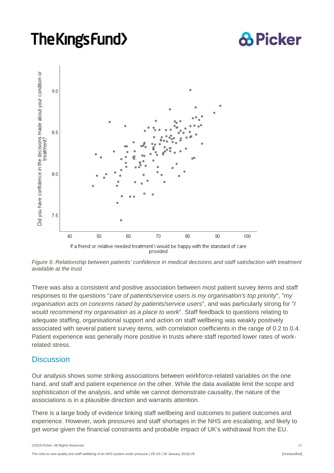## **& Picker**



*Figure 6: Relationship between patients' confidence in medical decisions and staff satisfaction with treatment available at the trust*

There was also a consistent and positive association between most patient survey items and staff responses to the questions "*care of patients/service users is my organisation's top priority*", "*my organisation acts on concerns raised by patients/service users*", and was particularly strong for "*I would recommend my organisation as a place to work*". Staff feedback to questions relating to adequate staffing, organisational support and action on staff wellbeing was weakly positively associated with several patient survey items, with correlation coefficients in the range of 0.2 to 0.4. Patient experience was generally more positive in trusts where staff reported lower rates of workrelated stress.

#### <span id="page-17-0"></span>**Discussion**

Our analysis shows some striking associations between workforce-related variables on the one hand, and staff and patient experience on the other. While the data available limit the scope and sophistication of the analysis, and while we cannot demonstrate causality, the nature of the associations is in a plausible direction and warrants attention.

There is a large body of evidence linking staff wellbeing and outcomes to patient outcomes and experience. However, work pressures and staff shortages in the NHS are escalating, and likely to get worse given the financial constraints and probable impact of UK's withdrawal from the EU.

©2018 Picker. All Rights Reserved. 17

The risks to care quality and staff wellbeing of an NHS system under pressure | VR SS | 30 January 2018| V8 [CONTERREGITED]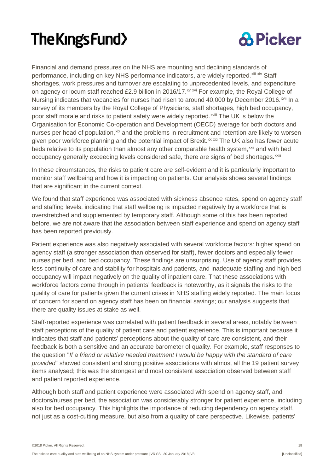

Financial and demand pressures on the NHS are mounting and declining standards of performance, including on key NHS performance indicators, are widely reported.<sup>[xiii](#page-21-13) [xiv](#page-22-0)</sup> Staff poor staff morale and risks to patient safety were widely reported.<sup>xviii</sup> [T](#page-22-4)he UK is below the occupancy generally exceeding levels considered safe, there are signs of bed shortages.<sup>xxiii</sup> shortages, work pressures and turnover are escalating to unprecedented levels, and expenditure on agency or locum staff reached £2.9 billion in 2016/17.<sup>[xv](#page-22-1) [xvi](#page-22-2)</sup> For example, the Royal College of Nursing indicates that vacancies for nurses had risen to around 40,000 by December 2016.<sup>[xvii](#page-22-3)</sup> In a survey of its members by the Royal College of Physicians, staff shortages, high bed occupancy, Organisation for Economic Co-operation and Development (OECD) average for both doctors and nurses per head of population,<sup>[xix](#page-22-5)</sup> and the problems in recruitment and retention are likely to worsen given poor workforce planning and the potential impact of Brexit.<sup>[xx](#page-22-6) [xxi](#page-22-7)</sup> The UK also has fewer acute beds relative to its population than almost any other comparable health system,<sup>[xxii](#page-22-8)</sup> and with bed

In these circumstances, the risks to patient care are self-evident and it is particularly important to monitor staff wellbeing and how it is impacting on patients. Our analysis shows several findings that are significant in the current context.

We found that staff experience was associated with sickness absence rates, spend on agency staff and staffing levels, indicating that staff wellbeing is impacted negatively by a workforce that is overstretched and supplemented by temporary staff. Although some of this has been reported before, we are not aware that the association between staff experience and spend on agency staff has been reported previously.

Patient experience was also negatively associated with several workforce factors: higher spend on agency staff (a stronger association than observed for staff), fewer doctors and especially fewer nurses per bed, and bed occupancy. These findings are unsurprising. Use of agency staff provides less continuity of care and stability for hospitals and patients, and inadequate staffing and high bed occupancy will impact negatively on the quality of inpatient care. That these associations with workforce factors come through in patients' feedback is noteworthy, as it signals the risks to the quality of care for patients given the current crises in NHS staffing widely reported. The main focus of concern for spend on agency staff has been on financial savings; our analysis suggests that there are quality issues at stake as well.

Staff-reported experience was correlated with patient feedback in several areas, notably between staff perceptions of the quality of patient care and patient experience. This is important because it indicates that staff and patients' perceptions about the quality of care are consistent, and their feedback is both a sensitive and an accurate barometer of quality. For example, staff responses to the question "*If a friend or relative needed treatment I would be happy with the standard of care provided*" showed consistent and strong positive associations with almost all the 19 patient survey items analysed; this was the strongest and most consistent association observed between staff and patient reported experience.

Although both staff and patient experience were associated with spend on agency staff, and doctors/nurses per bed, the association was considerably stronger for patient experience, including also for bed occupancy. This highlights the importance of reducing dependency on agency staff, not just as a cost-cutting measure, but also from a quality of care perspective. Likewise, patients'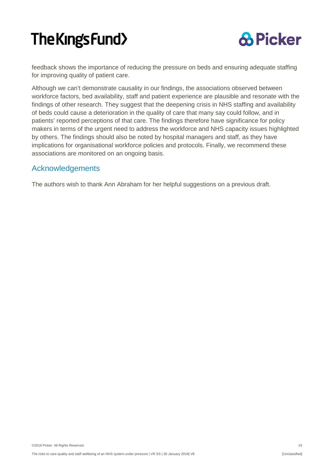

feedback shows the importance of reducing the pressure on beds and ensuring adequate staffing for improving quality of patient care.

Although we can't demonstrate causality in our findings, the associations observed between workforce factors, bed availability, staff and patient experience are plausible and resonate with the findings of other research. They suggest that the deepening crisis in NHS staffing and availability of beds could cause a deterioration in the quality of care that many say could follow, and in patients' reported perceptions of that care. The findings therefore have significance for policy makers in terms of the urgent need to address the workforce and NHS capacity issues highlighted by others. The findings should also be noted by hospital managers and staff, as they have implications for organisational workforce policies and protocols. Finally, we recommend these associations are monitored on an ongoing basis.

#### <span id="page-19-0"></span>Acknowledgements

The authors wish to thank Ann Abraham for her helpful suggestions on a previous draft.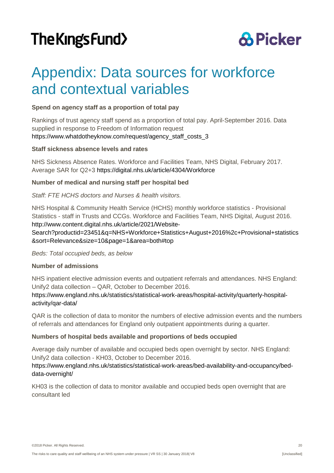### **& Picker**

### <span id="page-20-0"></span>Appendix: Data sources for workforce and contextual variables

#### **Spend on agency staff as a proportion of total pay**

Rankings of trust agency staff spend as a proportion of total pay. April-September 2016. Data supplied in response to Freedom of Information request [https://www.whatdotheyknow.com/request/agency\\_staff\\_costs\\_3](https://www.whatdotheyknow.com/request/agency_staff_costs_3)

#### **Staff sickness absence levels and rates**

NHS Sickness Absence Rates. Workforce and Facilities Team, NHS Digital, February 2017. Average SAR for Q2+3 <https://digital.nhs.uk/article/4304/Workforce>

#### **Number of medical and nursing staff per hospital bed**

#### *Staff: FTE HCHS doctors and Nurses & health visitors.*

NHS Hospital & Community Health Service (HCHS) monthly workforce statistics - Provisional Statistics - staff in Trusts and CCGs. Workforce and Facilities Team, NHS Digital, August 2016. [http://www.content.digital.nhs.uk/article/2021/Website-](http://www.content.digital.nhs.uk/article/2021/Website-Search?productid=23451&q=NHS+Workforce+Statistics+August+2016%2c+Provisional+statistics&sort=Relevance&size=10&page=1&area=both#top)

[Search?productid=23451&q=NHS+Workforce+Statistics+August+2016%2c+Provisional+statistics](http://www.content.digital.nhs.uk/article/2021/Website-Search?productid=23451&q=NHS+Workforce+Statistics+August+2016%2c+Provisional+statistics&sort=Relevance&size=10&page=1&area=both#top) [&sort=Relevance&size=10&page=1&area=both#top](http://www.content.digital.nhs.uk/article/2021/Website-Search?productid=23451&q=NHS+Workforce+Statistics+August+2016%2c+Provisional+statistics&sort=Relevance&size=10&page=1&area=both#top)

*Beds: Total occupied beds, as below*

#### **Number of admissions**

NHS inpatient elective admission events and outpatient referrals and attendances. NHS England: Unify2 data collection – QAR, October to December 2016.

[https://www.england.nhs.uk/statistics/statistical-work-areas/hospital-activity/quarterly-hospital](https://www.england.nhs.uk/statistics/statistical-work-areas/hospital-activity/quarterly-hospital-activity/qar-data/)[activity/qar-data/](https://www.england.nhs.uk/statistics/statistical-work-areas/hospital-activity/quarterly-hospital-activity/qar-data/)

QAR is the collection of data to monitor the numbers of elective admission events and the numbers of referrals and attendances for England only outpatient appointments during a quarter.

#### **Numbers of hospital beds available and proportions of beds occupied**

Average daily number of available and occupied beds open overnight by sector. NHS England: Unify2 data collection - KH03, October to December 2016.

#### [https://www.england.nhs.uk/statistics/statistical-work-areas/bed-availability-and-occupancy/bed](https://www.england.nhs.uk/statistics/statistical-work-areas/bed-availability-and-occupancy/bed-data-overnight/)[data-overnight/](https://www.england.nhs.uk/statistics/statistical-work-areas/bed-availability-and-occupancy/bed-data-overnight/)

KH03 is the collection of data to monitor available and occupied beds open overnight that are consultant led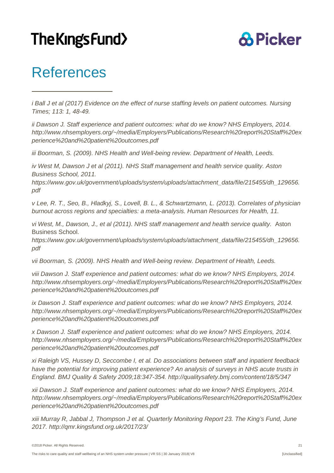### **& Picker**

### <span id="page-21-0"></span>References

1

<span id="page-21-1"></span>*i Ball J et al (2017) Evidence on the effect of nurse staffing levels on patient outcomes. Nursing Times; 113: 1, 48-49.*

<span id="page-21-2"></span>*ii Dawson J. Staff experience and patient outcomes: what do we know? NHS Employers, 2014. [http://www.nhsemployers.org/~/media/Employers/Publications/Research%20report%20Staff%20ex](http://www.nhsemployers.org/%7E/media/Employers/Publications/Research%20report%20Staff%20experience%20and%20patient%20outcomes.pdf) [perience%20and%20patient%20outcomes.pdf](http://www.nhsemployers.org/%7E/media/Employers/Publications/Research%20report%20Staff%20experience%20and%20patient%20outcomes.pdf)*

<span id="page-21-3"></span>*iii Boorman, S. (2009). NHS Health and Well-being review. Department of Health, Leeds.*

<span id="page-21-4"></span>*iv West M, Dawson J et al (2011). NHS Staff management and health service quality. Aston Business School, 2011.*

*[https://www.gov.uk/government/uploads/system/uploads/attachment\\_data/file/215455/dh\\_129656.](https://www.gov.uk/government/uploads/system/uploads/attachment_data/file/215455/dh_129656.pdf) [pdf](https://www.gov.uk/government/uploads/system/uploads/attachment_data/file/215455/dh_129656.pdf)*

<span id="page-21-5"></span>*v Lee, R. T., Seo, B., Hladkyj, S., Lovell, B. L., & Schwartzmann, L. (2013). Correlates of physician burnout across regions and specialties: a meta-analysis. Human Resources for Health, 11.*

<span id="page-21-6"></span>*vi West, M., Dawson, J., et al (2011). NHS staff management and health service quality.* Aston Business School.

*[https://www.gov.uk/government/uploads/system/uploads/attachment\\_data/file/215455/dh\\_129656.](https://www.gov.uk/government/uploads/system/uploads/attachment_data/file/215455/dh_129656.pdf) [pdf](https://www.gov.uk/government/uploads/system/uploads/attachment_data/file/215455/dh_129656.pdf)*

<span id="page-21-7"></span>*vii Boorman, S. (2009). NHS Health and Well-being review. Department of Health, Leeds.*

<span id="page-21-8"></span>*viii Dawson J. Staff experience and patient outcomes: what do we know? NHS Employers, 2014. [http://www.nhsemployers.org/~/media/Employers/Publications/Research%20report%20Staff%20ex](http://www.nhsemployers.org/%7E/media/Employers/Publications/Research%20report%20Staff%20experience%20and%20patient%20outcomes.pdf) [perience%20and%20patient%20outcomes.pdf](http://www.nhsemployers.org/%7E/media/Employers/Publications/Research%20report%20Staff%20experience%20and%20patient%20outcomes.pdf)*

<span id="page-21-9"></span>*ix Dawson J. Staff experience and patient outcomes: what do we know? NHS Employers, 2014. [http://www.nhsemployers.org/~/media/Employers/Publications/Research%20report%20Staff%20ex](http://www.nhsemployers.org/%7E/media/Employers/Publications/Research%20report%20Staff%20experience%20and%20patient%20outcomes.pdf) [perience%20and%20patient%20outcomes.pdf](http://www.nhsemployers.org/%7E/media/Employers/Publications/Research%20report%20Staff%20experience%20and%20patient%20outcomes.pdf)*

<span id="page-21-10"></span>*x Dawson J. Staff experience and patient outcomes: what do we know? NHS Employers, 2014. [http://www.nhsemployers.org/~/media/Employers/Publications/Research%20report%20Staff%20ex](http://www.nhsemployers.org/%7E/media/Employers/Publications/Research%20report%20Staff%20experience%20and%20patient%20outcomes.pdf) [perience%20and%20patient%20outcomes.pdf](http://www.nhsemployers.org/%7E/media/Employers/Publications/Research%20report%20Staff%20experience%20and%20patient%20outcomes.pdf)*

<span id="page-21-11"></span>*xi Raleigh VS, Hussey D, Seccombe I, et al. Do associations between staff and inpatient feedback have the potential for improving patient experience? An analysis of surveys in NHS acute trusts in England. BMJ Quality & Safety 2009;18:347-354.<http://qualitysafety.bmj.com/content/18/5/347>*

<span id="page-21-12"></span>*xii Dawson J. Staff experience and patient outcomes: what do we know? NHS Employers, 2014. [http://www.nhsemployers.org/~/media/Employers/Publications/Research%20report%20Staff%20ex](http://www.nhsemployers.org/%7E/media/Employers/Publications/Research%20report%20Staff%20experience%20and%20patient%20outcomes.pdf) [perience%20and%20patient%20outcomes.pdf](http://www.nhsemployers.org/%7E/media/Employers/Publications/Research%20report%20Staff%20experience%20and%20patient%20outcomes.pdf)*

<span id="page-21-13"></span>*xiii Murray R, Jabbal J, Thompson J et al. Quarterly Monitoring Report 23. The King's Fund, June 2017.<http://qmr.kingsfund.org.uk/2017/23/>*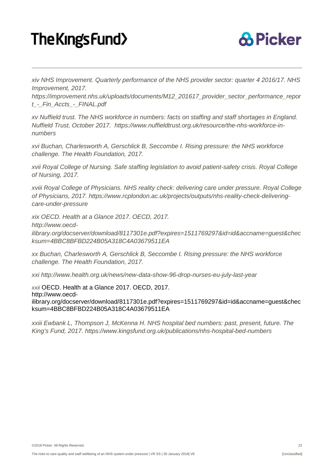j



<span id="page-22-0"></span>*xiv [NHS Improvement. Quarterly performance of the NHS provider sector: quarter 4 2016/17. NHS](https://improvement.nhs.uk/resources/quarterly-performance-nhs-provider-sector-quarter-4-1617/)  [Improvement,](https://improvement.nhs.uk/resources/quarterly-performance-nhs-provider-sector-quarter-4-1617/) 2017.* 

*[https://improvement.nhs.uk/uploads/documents/M12\\_201617\\_provider\\_sector\\_performance\\_repor](https://improvement.nhs.uk/uploads/documents/M12_201617_provider_sector_performance_report_-_Fin_Accts_-_FINAL.pdf) [t\\_-\\_Fin\\_Accts\\_-\\_FINAL.pdf](https://improvement.nhs.uk/uploads/documents/M12_201617_provider_sector_performance_report_-_Fin_Accts_-_FINAL.pdf)* 

<span id="page-22-1"></span>*xv Nuffield trust. The NHS workforce in numbers: facts on staffing and staff shortages in England. Nuffield Trust, October 2017. [https://www.nuffieldtrust.org.uk/resource/the-nhs-workforce-in](https://www.nuffieldtrust.org.uk/resource/the-nhs-workforce-in-numbers)[numbers](https://www.nuffieldtrust.org.uk/resource/the-nhs-workforce-in-numbers)*

<span id="page-22-2"></span>*xvi Buchan, Charlesworth A, Gerschlick B, Seccombe I. Rising pressure: the NHS workforce challenge. The Health Foundation, 2017.* 

<span id="page-22-3"></span>*xvii [Royal College of Nursing. Safe staffing legislation to avoid patient-safety crisis. Royal College](https://www.rcn.org.uk/news-and-events/news/safe-staffing-legislation-to-avoid-patient-safety-crisis)  [of Nursing,](https://www.rcn.org.uk/news-and-events/news/safe-staffing-legislation-to-avoid-patient-safety-crisis) 2017.*

<span id="page-22-4"></span>*xviii Royal College of Physicians. NHS reality check: delivering care under pressure. Royal College of Physicians, 2017. [https://www.rcplondon.ac.uk/projects/outputs/nhs-reality-check-delivering](https://www.rcplondon.ac.uk/projects/outputs/nhs-reality-check-delivering-care-under-pressure)[care-under-pressure](https://www.rcplondon.ac.uk/projects/outputs/nhs-reality-check-delivering-care-under-pressure)*

<span id="page-22-5"></span>*xix OECD. Health at a Glance 2017. OECD, 2017.* 

*http://www.oecd-*

*ilibrary.org/docserver/download/8117301e.pdf?expires=1511769297&id=id&accname=guest&chec ksum=4BBC8BFBD224B05A318C4A03679511EA*

<span id="page-22-6"></span>*xx Buchan, Charlesworth A, Gerschlick B, Seccombe I. Rising pressure: the NHS workforce challenge. The Health Foundation, 2017.*

<span id="page-22-7"></span>*xxi <http://www.health.org.uk/news/new-data-show-96-drop-nurses-eu-july-last-year>*

<span id="page-22-8"></span>*xxii* OECD. Health at a Glance 2017. OECD, 2017. http://www.oecdilibrary.org/docserver/download/8117301e.pdf?expires=1511769297&id=id&accname=guest&chec ksum=4BBC8BFBD224B05A318C4A03679511EA

*xxiii Ewbank L, Thompson J, McKenna H. NHS hospital bed numbers: past, present, future. The King's Fund, 2017.<https://www.kingsfund.org.uk/publications/nhs-hospital-bed-numbers>*